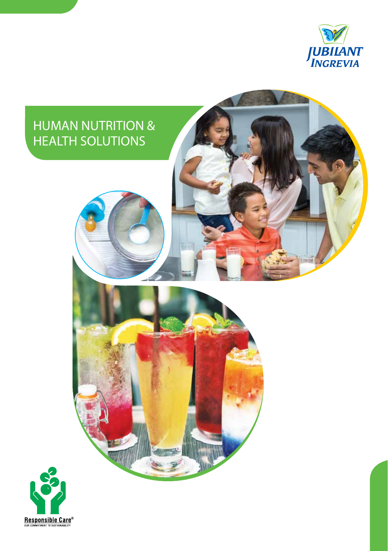

# HUMAN NUTRITION & HEALTH SOLUTIONS

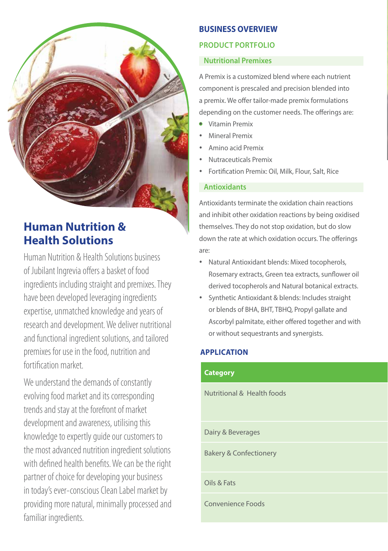# **Human Nutrition & Health Solutions**

Human Nutrition & Health Solutions business of Jubilant Ingrevia offers a basket of food ingredients including straight and premixes. They have been developed leveraging ingredients expertise, unmatched knowledge and years of research and development. We deliver nutritional and functional ingredient solutions, and tailored premixes for use in the food, nutrition and fortification market.

We understand the demands of constantly evolving food market and its corresponding trends and stay at the forefront of market development and awareness, utilising this knowledge to expertly guide our customers to the most advanced nutrition ingredient solutions with defined health benefits. We can be the right partner of choice for developing your business in today's ever-conscious Clean Label market by providing more natural, minimally processed and familiar ingredients.

# **BUSINESS OVERVIEW**

# **product portfolio**

# **Nutritional Premixes**

A Premix is a customized blend where each nutrient component is prescaled and precision blended into a premix. We offer tailor-made premix formulations depending on the customer needs. The offerings are:

- Vitamin Premix
- Mineral Premix
- Amino acid Premix
- Nutraceuticals Premix
- Fortification Premix: Oil, Milk, Flour, Salt, Rice

### **Antioxidants**

Antioxidants terminate the oxidation chain reactions and inhibit other oxidation reactions by being oxidised themselves. They do not stop oxidation, but do slow down the rate at which oxidation occurs. The offerings are:

- Natural Antioxidant blends: Mixed tocopherols, Rosemary extracts, Green tea extracts, sunflower oil derived tocopherols and Natural botanical extracts.
- Synthetic Antioxidant & blends: Includes straight or blends of BHA, BHT, TBHQ, Propyl gallate and Ascorbyl palmitate, either offered together and with or without sequestrants and synergists.

## **Application**

## **Category**

Nutritional & Health foods

Dairy & Beverages

Bakery & Confectionery

**Oils & Fats Oil, Butter, Margarine, Gheen, Margarine, Gheen, Margarine, Gheen, Gheen, Gheen, Gheen, Gheen, Ghe** 

Convenience Foods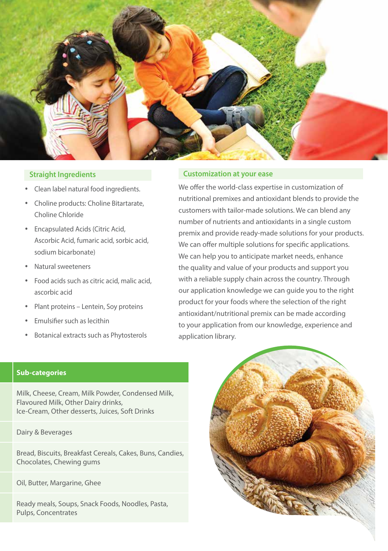

#### **Straight Ingredients**

- Clean label natural food ingredients.
- Choline products: Choline Bitartarate, Choline Chloride
- Encapsulated Acids (Citric Acid, Ascorbic Acid, fumaric acid, sorbic acid, sodium bicarbonate)
- Natural sweeteners
- Food acids such as citric acid, malic acid, ascorbic acid
- Plant proteins Lentein, Soy proteins
- Emulsifier such as lecithin
- Botanical extracts such as Phytosterols

#### **Customization at your ease**

We offer the world-class expertise in customization of nutritional premixes and antioxidant blends to provide the customers with tailor-made solutions. We can blend any number of nutrients and antioxidants in a single custom premix and provide ready-made solutions for your products. We can offer multiple solutions for specific applications. We can help you to anticipate market needs, enhance the quality and value of your products and support you with a reliable supply chain across the country. Through our application knowledge we can guide you to the right product for your foods where the selection of the right antioxidant/nutritional premix can be made according to your application from our knowledge, experience and application library.

#### **Sub-categories**

Milk, Cheese, Cream, Milk Powder, Condensed Milk, Flavoured Milk, Other Dairy drinks, Ice-Cream, Other desserts, Juices, Soft Drinks

Dairy & Beverages

Bread, Biscuits, Breakfast Cereals, Cakes, Buns, Candies, Chocolates, Chewing gums

Oil, Butter, Margarine, Ghee

Ready meals, Soups, Snack Foods, Noodles, Pasta, Pulps, Concentrates